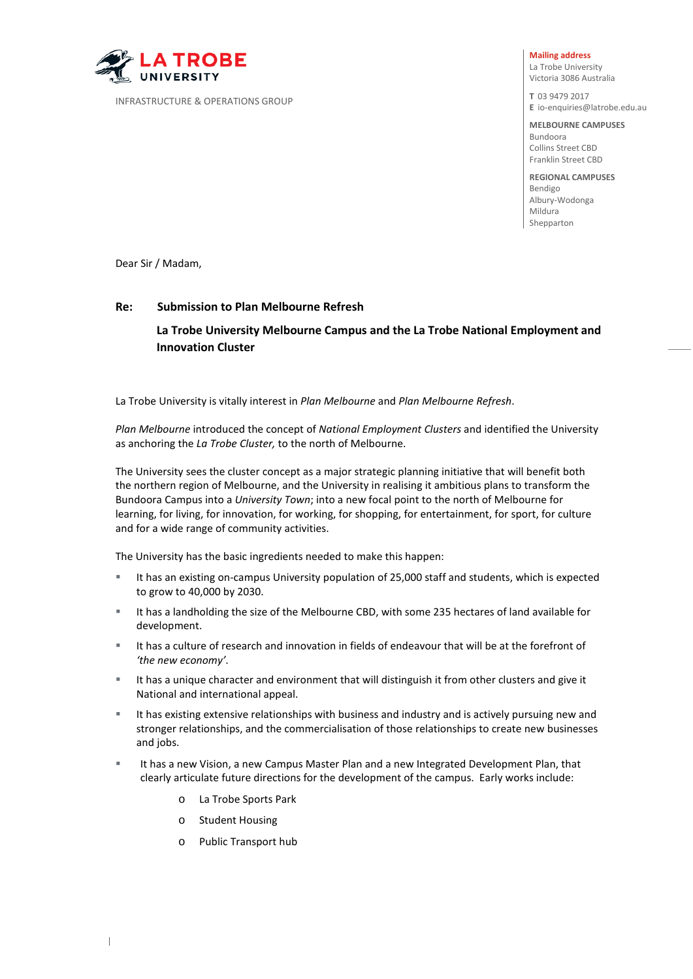

#### **Mailing address**

La Trobe University Victoria 3086 Australia

**T** 03 9479 2017 **E** [io-enquiries@latrobe.edu.au](mailto:io-enquiries@latrobe.edu.au)

**MELBOURNE CAMPUSES** Bundoora Collins Street CBD Franklin Street CBD

**REGIONAL CAMPUSES** Bendigo Albury-Wodonga Mildura Shepparton

Dear Sir / Madam,

## **Re: Submission to Plan Melbourne Refresh**

# **La Trobe University Melbourne Campus and the La Trobe National Employment and Innovation Cluster**

La Trobe University is vitally interest in *Plan Melbourne* and *Plan Melbourne Refresh*.

*Plan Melbourne* introduced the concept of *National Employment Clusters* and identified the University as anchoring the *La Trobe Cluster,* to the north of Melbourne.

The University sees the cluster concept as a major strategic planning initiative that will benefit both the northern region of Melbourne, and the University in realising it ambitious plans to transform the Bundoora Campus into a *University Town*; into a new focal point to the north of Melbourne for learning, for living, for innovation, for working, for shopping, for entertainment, for sport, for culture and for a wide range of community activities.

The University has the basic ingredients needed to make this happen:

- It has an existing on-campus University population of 25,000 staff and students, which is expected to grow to 40,000 by 2030.
- It has a landholding the size of the Melbourne CBD, with some 235 hectares of land available for development.
- It has a culture of research and innovation in fields of endeavour that will be at the forefront of *'the new economy'*.
- It has a unique character and environment that will distinguish it from other clusters and give it National and international appeal.
- It has existing extensive relationships with business and industry and is actively pursuing new and stronger relationships, and the commercialisation of those relationships to create new businesses and jobs.
- It has a new Vision, a new Campus Master Plan and a new Integrated Development Plan, that clearly articulate future directions for the development of the campus. Early works include:
	- o La Trobe Sports Park
	- o Student Housing
	- o Public Transport hub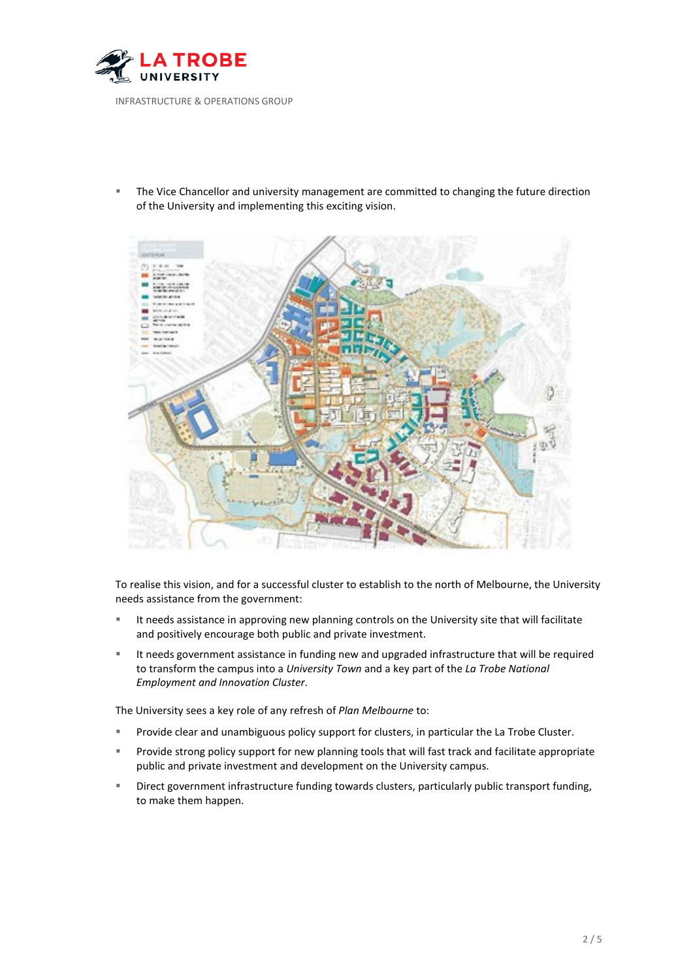

**F** The Vice Chancellor and university management are committed to changing the future direction of the University and implementing this exciting vision.



To realise this vision, and for a successful cluster to establish to the north of Melbourne, the University needs assistance from the government:

- **If needs assistance in approving new planning controls on the University site that will facilitate** and positively encourage both public and private investment.
- It needs government assistance in funding new and upgraded infrastructure that will be required to transform the campus into a *University Town* and a key part of the *La Trobe National Employment and Innovation Cluster*.

The University sees a key role of any refresh of *Plan Melbourne* to:

- **Provide clear and unambiguous policy support for clusters, in particular the La Trobe Cluster.**
- Provide strong policy support for new planning tools that will fast track and facilitate appropriate public and private investment and development on the University campus.
- Direct government infrastructure funding towards clusters, particularly public transport funding, to make them happen.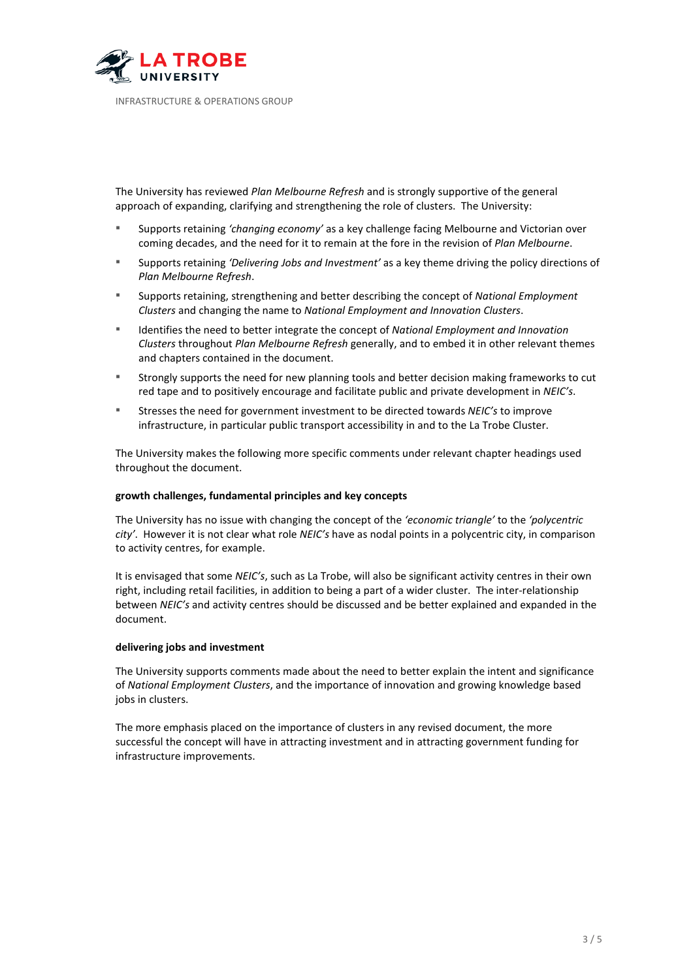

The University has reviewed *Plan Melbourne Refresh* and is strongly supportive of the general approach of expanding, clarifying and strengthening the role of clusters. The University:

- Supports retaining 'changing economy' as a key challenge facing Melbourne and Victorian over coming decades, and the need for it to remain at the fore in the revision of *Plan Melbourne*.
- Supports retaining *'Delivering Jobs and Investment'* as a key theme driving the policy directions of *Plan Melbourne Refresh*.
- Supports retaining, strengthening and better describing the concept of *National Employment Clusters* and changing the name to *National Employment and Innovation Clusters*.
- Identifies the need to better integrate the concept of *National Employment and Innovation Clusters* throughout *Plan Melbourne Refresh* generally, and to embed it in other relevant themes and chapters contained in the document.
- Strongly supports the need for new planning tools and better decision making frameworks to cut red tape and to positively encourage and facilitate public and private development in *NEIC's*.
- Stresses the need for government investment to be directed towards *NEIC's* to improve infrastructure, in particular public transport accessibility in and to the La Trobe Cluster.

The University makes the following more specific comments under relevant chapter headings used throughout the document.

#### **growth challenges, fundamental principles and key concepts**

The University has no issue with changing the concept of the *'economic triangle'* to the *'polycentric city'*. However it is not clear what role *NEIC's* have as nodal points in a polycentric city, in comparison to activity centres, for example.

It is envisaged that some *NEIC's*, such as La Trobe, will also be significant activity centres in their own right, including retail facilities, in addition to being a part of a wider cluster. The inter-relationship between *NEIC's* and activity centres should be discussed and be better explained and expanded in the document.

#### **delivering jobs and investment**

The University supports comments made about the need to better explain the intent and significance of *National Employment Clusters*, and the importance of innovation and growing knowledge based jobs in clusters.

The more emphasis placed on the importance of clusters in any revised document, the more successful the concept will have in attracting investment and in attracting government funding for infrastructure improvements.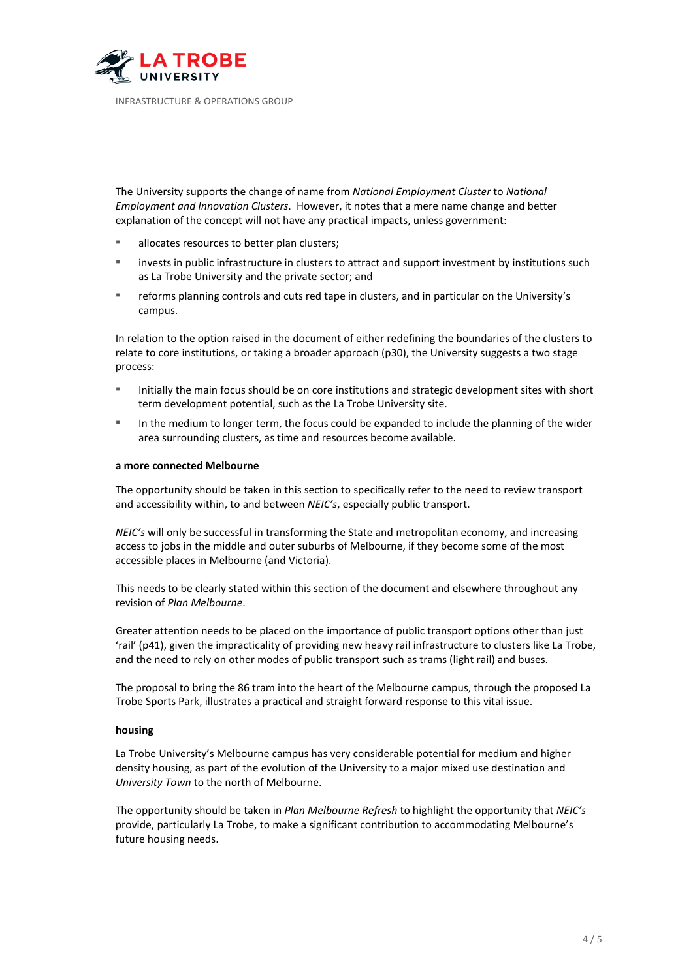

The University supports the change of name from *National Employment Cluster* to *National Employment and Innovation Clusters*. However, it notes that a mere name change and better explanation of the concept will not have any practical impacts, unless government:

- allocates resources to better plan clusters;
- invests in public infrastructure in clusters to attract and support investment by institutions such as La Trobe University and the private sector; and
- reforms planning controls and cuts red tape in clusters, and in particular on the University's campus.

In relation to the option raised in the document of either redefining the boundaries of the clusters to relate to core institutions, or taking a broader approach (p30), the University suggests a two stage process:

- Initially the main focus should be on core institutions and strategic development sites with short term development potential, such as the La Trobe University site.
- In the medium to longer term, the focus could be expanded to include the planning of the wider area surrounding clusters, as time and resources become available.

#### **a more connected Melbourne**

The opportunity should be taken in this section to specifically refer to the need to review transport and accessibility within, to and between *NEIC's*, especially public transport.

*NEIC's* will only be successful in transforming the State and metropolitan economy, and increasing access to jobs in the middle and outer suburbs of Melbourne, if they become some of the most accessible places in Melbourne (and Victoria).

This needs to be clearly stated within this section of the document and elsewhere throughout any revision of *Plan Melbourne*.

Greater attention needs to be placed on the importance of public transport options other than just 'rail' (p41), given the impracticality of providing new heavy rail infrastructure to clusters like La Trobe, and the need to rely on other modes of public transport such as trams (light rail) and buses.

The proposal to bring the 86 tram into the heart of the Melbourne campus, through the proposed La Trobe Sports Park, illustrates a practical and straight forward response to this vital issue.

### **housing**

La Trobe University's Melbourne campus has very considerable potential for medium and higher density housing, as part of the evolution of the University to a major mixed use destination and *University Town* to the north of Melbourne.

The opportunity should be taken in *Plan Melbourne Refresh* to highlight the opportunity that *NEIC's* provide, particularly La Trobe, to make a significant contribution to accommodating Melbourne's future housing needs.